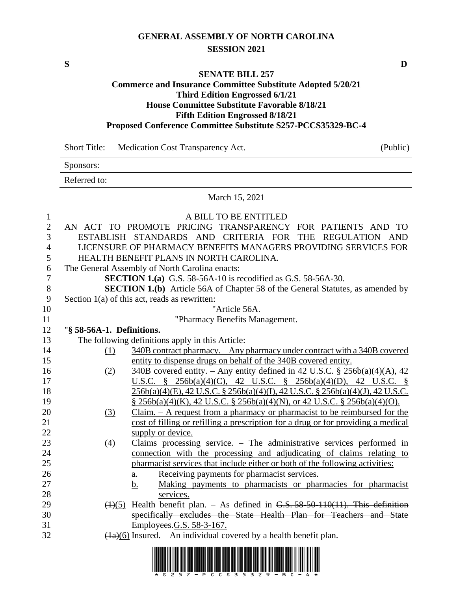# **GENERAL ASSEMBLY OF NORTH CAROLINA SESSION 2021**

**S D**

#### **SENATE BILL 257**

### **Commerce and Insurance Committee Substitute Adopted 5/20/21 Third Edition Engrossed 6/1/21 House Committee Substitute Favorable 8/18/21 Fifth Edition Engrossed 8/18/21 Proposed Conference Committee Substitute S257-PCCS35329-BC-4**

Short Title: Medication Cost Transparency Act. (Public)

Sponsors:

Referred to:

#### March 15, 2021

| $\mathbf{1}$   |                                                                                       | A BILL TO BE ENTITLED                                                                                                    |  |
|----------------|---------------------------------------------------------------------------------------|--------------------------------------------------------------------------------------------------------------------------|--|
| $\mathbf{2}$   |                                                                                       | AN ACT TO PROMOTE PRICING TRANSPARENCY FOR PATIENTS AND TO                                                               |  |
| 3              |                                                                                       | ESTABLISH STANDARDS AND CRITERIA FOR THE REGULATION AND                                                                  |  |
| $\overline{4}$ |                                                                                       | LICENSURE OF PHARMACY BENEFITS MANAGERS PROVIDING SERVICES FOR                                                           |  |
| 5              |                                                                                       | HEALTH BENEFIT PLANS IN NORTH CAROLINA.                                                                                  |  |
| 6              |                                                                                       | The General Assembly of North Carolina enacts:                                                                           |  |
| $\tau$         | <b>SECTION 1.(a)</b> G.S. 58-56A-10 is recodified as G.S. 58-56A-30.                  |                                                                                                                          |  |
| 8              | <b>SECTION 1.(b)</b> Article 56A of Chapter 58 of the General Statutes, as amended by |                                                                                                                          |  |
| 9              | Section $1(a)$ of this act, reads as rewritten:                                       |                                                                                                                          |  |
| 10             |                                                                                       | "Article 56A.                                                                                                            |  |
| 11             | "Pharmacy Benefits Management.                                                        |                                                                                                                          |  |
| 12             | "§ 58-56A-1. Definitions.                                                             |                                                                                                                          |  |
| 13             | The following definitions apply in this Article:                                      |                                                                                                                          |  |
| 14             | (1)                                                                                   | 340B contract pharmacy. - Any pharmacy under contract with a 340B covered                                                |  |
| 15             |                                                                                       | entity to dispense drugs on behalf of the 340B covered entity.                                                           |  |
| 16             | (2)                                                                                   | $340B$ covered entity. – Any entity defined in 42 U.S.C. § 256b(a)(4)(A), 42                                             |  |
| 17             |                                                                                       | <u>U.S.C.</u> § 256b(a)(4)(C), 42 U.S.C. § 256b(a)(4)(D), 42 U.S.C. §                                                    |  |
| 18             |                                                                                       | 256b(a)(4)(E), 42 U.S.C. § 256b(a)(4)(I), 42 U.S.C. § 256b(a)(4)(J), 42 U.S.C.                                           |  |
| 19             |                                                                                       | $\S$ 256b(a)(4)(K), 42 U.S.C. $\S$ 256b(a)(4)(N), or 42 U.S.C. $\S$ 256b(a)(4)(O).                                       |  |
| 20             | (3)                                                                                   | $Claim. - A request from a pharmacy or pharmacist to be reimbussed for the$                                              |  |
| 21             |                                                                                       | cost of filling or refilling a prescription for a drug or for providing a medical                                        |  |
| 22             |                                                                                       | supply or device.                                                                                                        |  |
| 23             | (4)                                                                                   | Claims processing service. $-$ The administrative services performed in                                                  |  |
| 24             |                                                                                       | connection with the processing and adjudicating of claims relating to                                                    |  |
| 25             |                                                                                       | pharmacist services that include either or both of the following activities:                                             |  |
| 26<br>27       |                                                                                       | Receiving payments for pharmacist services.<br>$\underline{a}$ .                                                         |  |
| 28             |                                                                                       | Making payments to pharmacists or pharmacies for pharmacist<br>b.<br>services.                                           |  |
| 29             |                                                                                       | $\left(\frac{1}{5}\right)$ Health benefit plan. - As defined in G.S. 58-50-110(11). This definition                      |  |
| 30             |                                                                                       | specifically excludes the State Health Plan for Teachers and State                                                       |  |
| 31             |                                                                                       | Employees.G.S. 58-3-167.                                                                                                 |  |
| 32             |                                                                                       | $(1a)(6)$ Insured. – An individual covered by a health benefit plan.                                                     |  |
|                |                                                                                       |                                                                                                                          |  |
|                |                                                                                       | <u> 1 IU 11 IU 11 IU 11 IU 11 IU 11 IU 11 IU 11 IU 11 IU 11 IU 11 IU 11 IU 11 IU 11 IU 11 IU 11 IU 11 IU 11 IU 11 IU</u> |  |

\*S257-PCCS35329-BC-4\*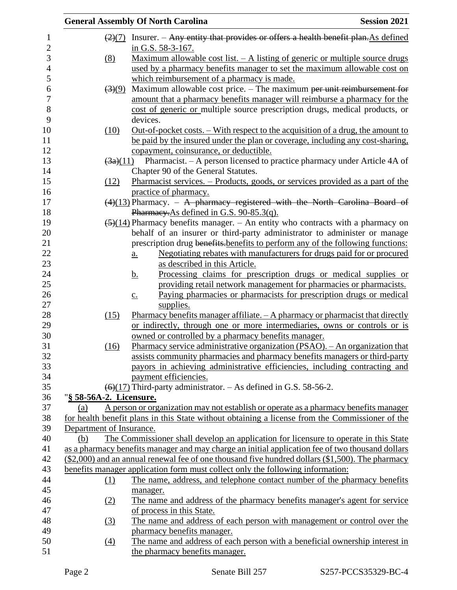|                                | <b>General Assembly Of North Carolina</b><br><b>Session 2021</b>                                                                               |
|--------------------------------|------------------------------------------------------------------------------------------------------------------------------------------------|
| $\left(2\right)\left(7\right)$ | Insurer. – Any entity that provides or offers a health benefit plan. As defined                                                                |
| (8)                            | in G.S. 58-3-167.<br><u>Maximum allowable cost list. <math>-</math> A listing of generic or multiple source drugs</u>                          |
|                                | used by a pharmacy benefits manager to set the maximum allowable cost on                                                                       |
|                                | which reimbursement of a pharmacy is made.                                                                                                     |
| $\left(3\right)\left(9\right)$ | Maximum allowable cost price. $-$ The maximum per unit reimbursement for                                                                       |
|                                | amount that a pharmacy benefits manager will reimburse a pharmacy for the                                                                      |
|                                | cost of generic or multiple source prescription drugs, medical products, or<br>devices.                                                        |
| (10)                           | <u>Out-of-pocket costs. – With respect to the acquisition of a drug, the amount to</u>                                                         |
|                                | be paid by the insured under the plan or coverage, including any cost-sharing,                                                                 |
|                                | copayment, coinsurance, or deductible.                                                                                                         |
|                                | $\frac{3a}{11}$ Pharmacist. – A person licensed to practice pharmacy under Article 4A of                                                       |
|                                | Chapter 90 of the General Statutes.                                                                                                            |
| (12)                           | Pharmacist services. – Products, goods, or services provided as a part of the                                                                  |
|                                | practice of pharmacy.                                                                                                                          |
|                                | $(4)(13)$ Pharmacy. - A pharmacy registered with the North Carolina Board of                                                                   |
|                                | Pharmacy.As defined in G.S. 90-85.3(q).<br>$\left(\frac{5}{14}\right)$ Pharmacy benefits manager. – An entity who contracts with a pharmacy on |
|                                | behalf of an insurer or third-party administrator to administer or manage                                                                      |
|                                | prescription drug benefits-benefits to perform any of the following functions:                                                                 |
|                                | Negotiating rebates with manufacturers for drugs paid for or procured<br>$a_{\cdot}$                                                           |
|                                | as described in this Article.                                                                                                                  |
|                                | Processing claims for prescription drugs or medical supplies or<br><u>b.</u>                                                                   |
|                                | providing retail network management for pharmacies or pharmacists.                                                                             |
|                                | Paying pharmacies or pharmacists for prescription drugs or medical<br>$\underline{c}$ .                                                        |
|                                | supplies.                                                                                                                                      |
| (15)                           | Pharmacy benefits manager affiliate. $-A$ pharmacy or pharmacist that directly                                                                 |
|                                | or indirectly, through one or more intermediaries, owns or controls or is                                                                      |
|                                | owned or controlled by a pharmacy benefits manager.                                                                                            |
| (16)                           | Pharmacy service administrative organization (PSAO). - An organization that                                                                    |
|                                | assists community pharmacies and pharmacy benefits managers or third-party                                                                     |
|                                | payors in achieving administrative efficiencies, including contracting and<br>payment efficiencies.                                            |
|                                | $(6)(17)$ Third-party administrator. $-$ As defined in G.S. 58-56-2.                                                                           |
| "§ 58-56A-2. Licensure.        |                                                                                                                                                |
| (a)                            | A person or organization may not establish or operate as a pharmacy benefits manager                                                           |
|                                | for health benefit plans in this State without obtaining a license from the Commissioner of the                                                |
| Department of Insurance.       |                                                                                                                                                |
| (b)                            | The Commissioner shall develop an application for licensure to operate in this State                                                           |
|                                | as a pharmacy benefits manager and may charge an initial application fee of two thousand dollars                                               |
|                                | $(\$2,000)$ and an annual renewal fee of one thousand five hundred dollars $(\$1,500)$ . The pharmacy                                          |
|                                | benefits manager application form must collect only the following information:                                                                 |
| (1)                            | The name, address, and telephone contact number of the pharmacy benefits                                                                       |
|                                | manager.                                                                                                                                       |
| <u>(2)</u>                     | The name and address of the pharmacy benefits manager's agent for service                                                                      |
|                                | of process in this State.                                                                                                                      |
| (3)                            | The name and address of each person with management or control over the                                                                        |
|                                | pharmacy benefits manager.                                                                                                                     |
| (4)                            | The name and address of each person with a beneficial ownership interest in                                                                    |
|                                | the pharmacy benefits manager.                                                                                                                 |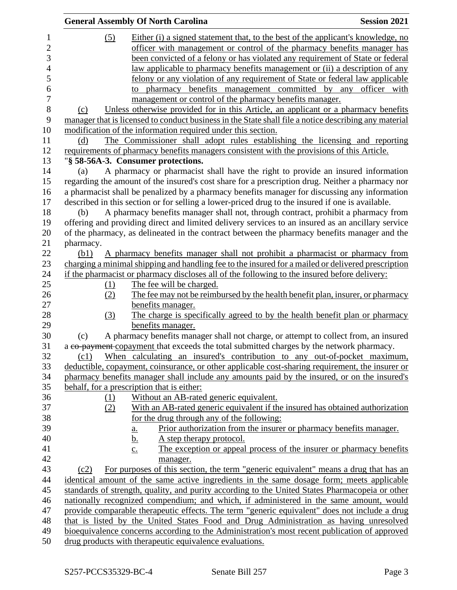|           | <b>General Assembly Of North Carolina</b>                                                             | <b>Session 2021</b> |
|-----------|-------------------------------------------------------------------------------------------------------|---------------------|
| (5)       | Either (i) a signed statement that, to the best of the applicant's knowledge, no                      |                     |
|           | officer with management or control of the pharmacy benefits manager has                               |                     |
|           | been convicted of a felony or has violated any requirement of State or federal                        |                     |
|           | law applicable to pharmacy benefits management or (ii) a description of any                           |                     |
|           | felony or any violation of any requirement of State or federal law applicable                         |                     |
|           | pharmacy benefits management committed by any officer with<br>to                                      |                     |
|           | management or control of the pharmacy benefits manager.                                               |                     |
| (c)       | Unless otherwise provided for in this Article, an applicant or a pharmacy benefits                    |                     |
|           | manager that is licensed to conduct business in the State shall file a notice describing any material |                     |
|           | modification of the information required under this section.                                          |                     |
|           |                                                                                                       |                     |
| (d)       | The Commissioner shall adopt rules establishing the licensing and reporting                           |                     |
|           | requirements of pharmacy benefits managers consistent with the provisions of this Article.            |                     |
|           | "§ 58-56A-3. Consumer protections.                                                                    |                     |
| (a)       | A pharmacy or pharmacist shall have the right to provide an insured information                       |                     |
|           | regarding the amount of the insured's cost share for a prescription drug. Neither a pharmacy nor      |                     |
|           | a pharmacist shall be penalized by a pharmacy benefits manager for discussing any information         |                     |
|           | described in this section or for selling a lower-priced drug to the insured if one is available.      |                     |
| (b)       | A pharmacy benefits manager shall not, through contract, prohibit a pharmacy from                     |                     |
|           | offering and providing direct and limited delivery services to an insured as an ancillary service     |                     |
|           | of the pharmacy, as delineated in the contract between the pharmacy benefits manager and the          |                     |
| pharmacy. |                                                                                                       |                     |
| (b1)      | A pharmacy benefits manager shall not prohibit a pharmacist or pharmacy from                          |                     |
|           | charging a minimal shipping and handling fee to the insured for a mailed or delivered prescription    |                     |
|           | if the pharmacist or pharmacy discloses all of the following to the insured before delivery:          |                     |
| (1)       | The fee will be charged.                                                                              |                     |
| (2)       | The fee may not be reimbursed by the health benefit plan, insurer, or pharmacy                        |                     |
|           | benefits manager.                                                                                     |                     |
| (3)       | The charge is specifically agreed to by the health benefit plan or pharmacy                           |                     |
|           | benefits manager.                                                                                     |                     |
| (c)       | A pharmacy benefits manager shall not charge, or attempt to collect from, an insured                  |                     |
|           | a co-payment copayment that exceeds the total submitted charges by the network pharmacy.              |                     |
| (c1)      | When calculating an insured's contribution to any out-of-pocket maximum,                              |                     |
|           | deductible, copayment, coinsurance, or other applicable cost-sharing requirement, the insurer or      |                     |
|           | pharmacy benefits manager shall include any amounts paid by the insured, or on the insured's          |                     |
|           | behalf, for a prescription that is either:                                                            |                     |
| (1)       | Without an AB-rated generic equivalent.                                                               |                     |
| (2)       | With an AB-rated generic equivalent if the insured has obtained authorization                         |                     |
|           | for the drug through any of the following:                                                            |                     |
|           | Prior authorization from the insurer or pharmacy benefits manager.<br>a.                              |                     |
|           | A step therapy protocol.<br><u>b.</u>                                                                 |                     |
|           | The exception or appeal process of the insurer or pharmacy benefits<br>$\underline{c}$ .              |                     |
|           | manager.                                                                                              |                     |
| (c2)      | For purposes of this section, the term "generic equivalent" means a drug that has an                  |                     |
|           | identical amount of the same active ingredients in the same dosage form; meets applicable             |                     |
|           | standards of strength, quality, and purity according to the United States Pharmacopeia or other       |                     |
|           | nationally recognized compendium; and which, if administered in the same amount, would                |                     |
|           | provide comparable therapeutic effects. The term "generic equivalent" does not include a drug         |                     |
|           | that is listed by the United States Food and Drug Administration as having unresolved                 |                     |
|           | bioequivalence concerns according to the Administration's most recent publication of approved         |                     |
|           | drug products with therapeutic equivalence evaluations.                                               |                     |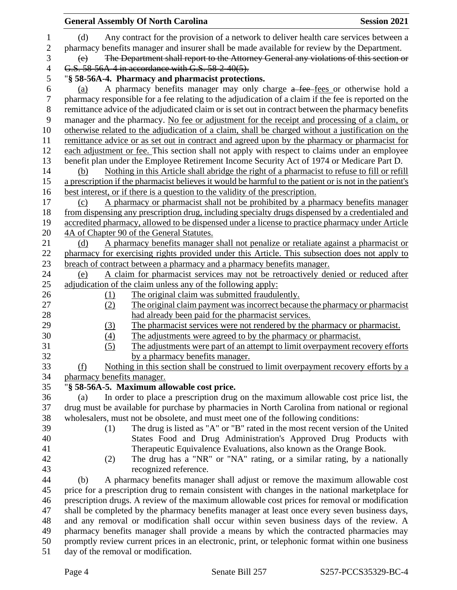|                                     |                                                                                                                                              | <b>General Assembly Of North Carolina</b>                                                                                                                                                                                                                                                           | <b>Session 2021</b> |  |
|-------------------------------------|----------------------------------------------------------------------------------------------------------------------------------------------|-----------------------------------------------------------------------------------------------------------------------------------------------------------------------------------------------------------------------------------------------------------------------------------------------------|---------------------|--|
| $\mathbf{1}$<br>$\overline{2}$<br>3 | (d)<br>(e)                                                                                                                                   | Any contract for the provision of a network to deliver health care services between a<br>pharmacy benefits manager and insurer shall be made available for review by the Department.<br>The Department shall report to the Attorney General any violations of this section or                       |                     |  |
| 4                                   |                                                                                                                                              | G.S. 58-56A-4 in accordance with G.S. 58-2-40(5).                                                                                                                                                                                                                                                   |                     |  |
| 5                                   |                                                                                                                                              | "§ 58-56A-4. Pharmacy and pharmacist protections.                                                                                                                                                                                                                                                   |                     |  |
| 6<br>7                              | (a)                                                                                                                                          | A pharmacy benefits manager may only charge a fee-fees or otherwise hold a<br>pharmacy responsible for a fee relating to the adjudication of a claim if the fee is reported on the                                                                                                                  |                     |  |
| $8\,$<br>9                          |                                                                                                                                              | remittance advice of the adjudicated claim or is set out in contract between the pharmacy benefits<br>manager and the pharmacy. No fee or adjustment for the receipt and processing of a claim, or                                                                                                  |                     |  |
| 10<br>11<br>12                      |                                                                                                                                              | otherwise related to the adjudication of a claim, shall be charged without a justification on the<br>remittance advice or as set out in contract and agreed upon by the pharmacy or pharmacist for<br>each adjustment or fee. This section shall not apply with respect to claims under an employee |                     |  |
| 13                                  |                                                                                                                                              | benefit plan under the Employee Retirement Income Security Act of 1974 or Medicare Part D.                                                                                                                                                                                                          |                     |  |
| 14                                  | (b)                                                                                                                                          | Nothing in this Article shall abridge the right of a pharmacist to refuse to fill or refill                                                                                                                                                                                                         |                     |  |
| 15                                  |                                                                                                                                              | a prescription if the pharmacist believes it would be harmful to the patient or is not in the patient's                                                                                                                                                                                             |                     |  |
| 16                                  |                                                                                                                                              | best interest, or if there is a question to the validity of the prescription.                                                                                                                                                                                                                       |                     |  |
| 17                                  | (c)                                                                                                                                          | A pharmacy or pharmacist shall not be prohibited by a pharmacy benefits manager                                                                                                                                                                                                                     |                     |  |
| 18                                  |                                                                                                                                              | from dispensing any prescription drug, including specialty drugs dispensed by a credentialed and                                                                                                                                                                                                    |                     |  |
| 19                                  |                                                                                                                                              |                                                                                                                                                                                                                                                                                                     |                     |  |
| 20                                  | accredited pharmacy, allowed to be dispensed under a license to practice pharmacy under Article<br>4A of Chapter 90 of the General Statutes. |                                                                                                                                                                                                                                                                                                     |                     |  |
| 21                                  | (d)                                                                                                                                          | A pharmacy benefits manager shall not penalize or retaliate against a pharmacist or                                                                                                                                                                                                                 |                     |  |
| 22                                  |                                                                                                                                              | pharmacy for exercising rights provided under this Article. This subsection does not apply to                                                                                                                                                                                                       |                     |  |
| 23                                  |                                                                                                                                              |                                                                                                                                                                                                                                                                                                     |                     |  |
| 24                                  |                                                                                                                                              | breach of contract between a pharmacy and a pharmacy benefits manager.                                                                                                                                                                                                                              |                     |  |
| 25                                  | (e)                                                                                                                                          | A claim for pharmacist services may not be retroactively denied or reduced after                                                                                                                                                                                                                    |                     |  |
| 26                                  |                                                                                                                                              | adjudication of the claim unless any of the following apply:<br>The original claim was submitted fraudulently.                                                                                                                                                                                      |                     |  |
| 27                                  | <u>(1)</u><br>(2)                                                                                                                            | The original claim payment was incorrect because the pharmacy or pharmacist                                                                                                                                                                                                                         |                     |  |
| 28                                  |                                                                                                                                              | had already been paid for the pharmacist services.                                                                                                                                                                                                                                                  |                     |  |
| 29                                  | (3)                                                                                                                                          | The pharmacist services were not rendered by the pharmacy or pharmacist.                                                                                                                                                                                                                            |                     |  |
| 30                                  | (4)                                                                                                                                          | The adjustments were agreed to by the pharmacy or pharmacist.                                                                                                                                                                                                                                       |                     |  |
| 31                                  | (5)                                                                                                                                          | The adjustments were part of an attempt to limit overpayment recovery efforts                                                                                                                                                                                                                       |                     |  |
| 32                                  |                                                                                                                                              | by a pharmacy benefits manager.                                                                                                                                                                                                                                                                     |                     |  |
| 33                                  | (f)                                                                                                                                          | Nothing in this section shall be construed to limit overpayment recovery efforts by a                                                                                                                                                                                                               |                     |  |
| 34                                  | pharmacy benefits manager.                                                                                                                   |                                                                                                                                                                                                                                                                                                     |                     |  |
| 35                                  |                                                                                                                                              | "§ 58-56A-5. Maximum allowable cost price.                                                                                                                                                                                                                                                          |                     |  |
| 36                                  | (a)                                                                                                                                          | In order to place a prescription drug on the maximum allowable cost price list, the                                                                                                                                                                                                                 |                     |  |
| 37                                  |                                                                                                                                              | drug must be available for purchase by pharmacies in North Carolina from national or regional                                                                                                                                                                                                       |                     |  |
| 38                                  |                                                                                                                                              | wholesalers, must not be obsolete, and must meet one of the following conditions:                                                                                                                                                                                                                   |                     |  |
| 39                                  | (1)                                                                                                                                          | The drug is listed as "A" or "B" rated in the most recent version of the United                                                                                                                                                                                                                     |                     |  |
| 40                                  |                                                                                                                                              | States Food and Drug Administration's Approved Drug Products with                                                                                                                                                                                                                                   |                     |  |
| 41                                  |                                                                                                                                              | Therapeutic Equivalence Evaluations, also known as the Orange Book.                                                                                                                                                                                                                                 |                     |  |
| 42                                  | (2)                                                                                                                                          | The drug has a "NR" or "NA" rating, or a similar rating, by a nationally                                                                                                                                                                                                                            |                     |  |
| 43                                  |                                                                                                                                              | recognized reference.                                                                                                                                                                                                                                                                               |                     |  |
| 44                                  | (b)                                                                                                                                          | A pharmacy benefits manager shall adjust or remove the maximum allowable cost                                                                                                                                                                                                                       |                     |  |
| 45                                  |                                                                                                                                              | price for a prescription drug to remain consistent with changes in the national marketplace for                                                                                                                                                                                                     |                     |  |
| 46                                  |                                                                                                                                              | prescription drugs. A review of the maximum allowable cost prices for removal or modification                                                                                                                                                                                                       |                     |  |
| 47                                  |                                                                                                                                              | shall be completed by the pharmacy benefits manager at least once every seven business days,                                                                                                                                                                                                        |                     |  |
| 48                                  |                                                                                                                                              | and any removal or modification shall occur within seven business days of the review. A                                                                                                                                                                                                             |                     |  |
| 49                                  |                                                                                                                                              | pharmacy benefits manager shall provide a means by which the contracted pharmacies may                                                                                                                                                                                                              |                     |  |
| 50                                  |                                                                                                                                              | promptly review current prices in an electronic, print, or telephonic format within one business                                                                                                                                                                                                    |                     |  |
| 51                                  |                                                                                                                                              | day of the removal or modification.                                                                                                                                                                                                                                                                 |                     |  |
|                                     |                                                                                                                                              |                                                                                                                                                                                                                                                                                                     |                     |  |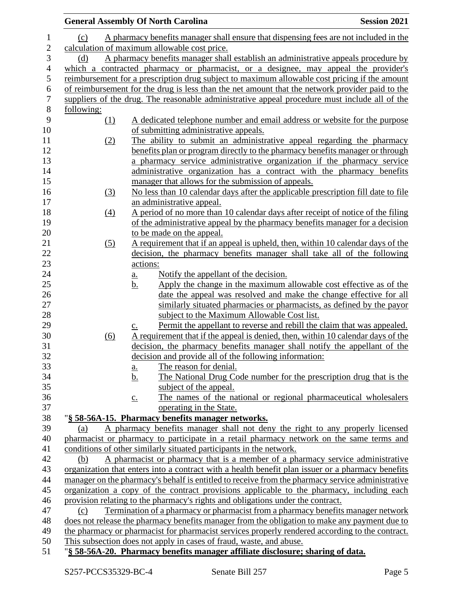|                       |                                              | <b>General Assembly Of North Carolina</b>                                                                                                               | <b>Session 2021</b> |
|-----------------------|----------------------------------------------|---------------------------------------------------------------------------------------------------------------------------------------------------------|---------------------|
| $\mathbf 1$           | (c)                                          | A pharmacy benefits manager shall ensure that dispensing fees are not included in the                                                                   |                     |
| $\overline{c}$        | calculation of maximum allowable cost price. |                                                                                                                                                         |                     |
| 3                     | (d)                                          | A pharmacy benefits manager shall establish an administrative appeals procedure by                                                                      |                     |
| $\overline{4}$        |                                              | which a contracted pharmacy or pharmacist, or a designee, may appeal the provider's                                                                     |                     |
| 5                     |                                              | reimbursement for a prescription drug subject to maximum allowable cost pricing if the amount                                                           |                     |
| $\boldsymbol{6}$      |                                              | of reimbursement for the drug is less than the net amount that the network provider paid to the                                                         |                     |
| $\boldsymbol{7}$<br>8 |                                              | suppliers of the drug. The reasonable administrative appeal procedure must include all of the                                                           |                     |
| 9                     | following:                                   |                                                                                                                                                         |                     |
| 10                    | (1)                                          | A dedicated telephone number and email address or website for the purpose<br>of submitting administrative appeals.                                      |                     |
|                       |                                              | The ability to submit an administrative appeal regarding the pharmacy                                                                                   |                     |
| 11<br>12              | (2)                                          |                                                                                                                                                         |                     |
| 13                    |                                              | benefits plan or program directly to the pharmacy benefits manager or through<br>a pharmacy service administrative organization if the pharmacy service |                     |
| 14                    |                                              | administrative organization has a contract with the pharmacy benefits                                                                                   |                     |
| 15                    |                                              | manager that allows for the submission of appeals.                                                                                                      |                     |
| 16                    |                                              | No less than 10 calendar days after the applicable prescription fill date to file                                                                       |                     |
| 17                    | (3)                                          | an administrative appeal.                                                                                                                               |                     |
| 18                    | (4)                                          | A period of no more than 10 calendar days after receipt of notice of the filing                                                                         |                     |
| 19                    |                                              | of the administrative appeal by the pharmacy benefits manager for a decision                                                                            |                     |
| 20                    |                                              | to be made on the appeal.                                                                                                                               |                     |
| 21                    | (5)                                          | A requirement that if an appeal is upheld, then, within 10 calendar days of the                                                                         |                     |
| 22                    |                                              | decision, the pharmacy benefits manager shall take all of the following                                                                                 |                     |
| 23                    |                                              | actions:                                                                                                                                                |                     |
| 24                    |                                              | Notify the appellant of the decision.<br><u>a.</u>                                                                                                      |                     |
| $25\,$                |                                              | Apply the change in the maximum allowable cost effective as of the<br><u>b.</u>                                                                         |                     |
| 26                    |                                              | date the appeal was resolved and make the change effective for all                                                                                      |                     |
| 27                    |                                              | similarly situated pharmacies or pharmacists, as defined by the payor                                                                                   |                     |
| 28                    |                                              | subject to the Maximum Allowable Cost list.                                                                                                             |                     |
| 29                    |                                              | Permit the appellant to reverse and rebill the claim that was appealed.<br>$\underline{c}$ .                                                            |                     |
| 30                    | (6)                                          | A requirement that if the appeal is denied, then, within 10 calendar days of the                                                                        |                     |
| 31                    |                                              | decision, the pharmacy benefits manager shall notify the appellant of the                                                                               |                     |
| 32                    |                                              | decision and provide all of the following information:                                                                                                  |                     |
| 33                    |                                              | The reason for denial.<br>$\underline{\mathbf{a}}$ .                                                                                                    |                     |
| 34                    |                                              | The National Drug Code number for the prescription drug that is the<br><u>b.</u>                                                                        |                     |
| 35                    |                                              | subject of the appeal.                                                                                                                                  |                     |
| 36                    |                                              | The names of the national or regional pharmaceutical wholesalers<br>$\underline{c}$ .                                                                   |                     |
| 37                    |                                              | operating in the State.                                                                                                                                 |                     |
| 38                    |                                              | "§ 58-56A-15. Pharmacy benefits manager networks.                                                                                                       |                     |
| 39                    | (a)                                          | A pharmacy benefits manager shall not deny the right to any properly licensed                                                                           |                     |
| 40                    |                                              | pharmacist or pharmacy to participate in a retail pharmacy network on the same terms and                                                                |                     |
| 41                    |                                              | conditions of other similarly situated participants in the network.                                                                                     |                     |
| 42                    | (b)                                          | A pharmacist or pharmacy that is a member of a pharmacy service administrative                                                                          |                     |
| 43                    |                                              | organization that enters into a contract with a health benefit plan issuer or a pharmacy benefits                                                       |                     |
| 44                    |                                              | manager on the pharmacy's behalf is entitled to receive from the pharmacy service administrative                                                        |                     |
| 45                    |                                              | organization a copy of the contract provisions applicable to the pharmacy, including each                                                               |                     |
| 46                    |                                              | provision relating to the pharmacy's rights and obligations under the contract.                                                                         |                     |
| 47                    | (c)                                          | Termination of a pharmacy or pharmacist from a pharmacy benefits manager network                                                                        |                     |
| 48                    |                                              | does not release the pharmacy benefits manager from the obligation to make any payment due to                                                           |                     |
| 49                    |                                              | the pharmacy or pharmacist for pharmacist services properly rendered according to the contract.                                                         |                     |
| 50                    |                                              | This subsection does not apply in cases of fraud, waste, and abuse.                                                                                     |                     |
| 51                    |                                              | "§ 58-56A-20. Pharmacy benefits manager affiliate disclosure; sharing of data.                                                                          |                     |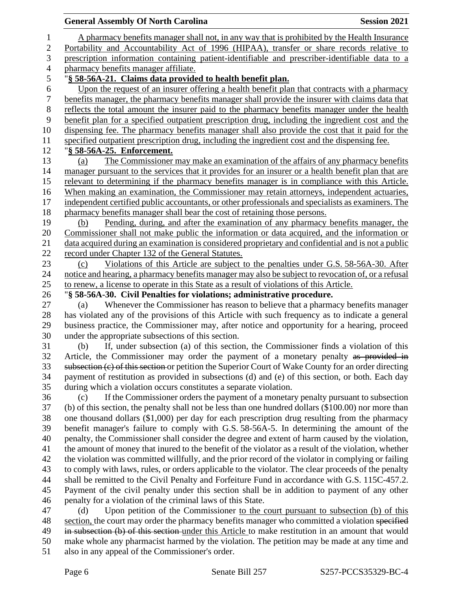## **General Assembly Of North Carolina Session 2021**  A pharmacy benefits manager shall not, in any way that is prohibited by the Health Insurance Portability and Accountability Act of 1996 (HIPAA), transfer or share records relative to prescription information containing patient-identifiable and prescriber-identifiable data to a pharmacy benefits manager affiliate. "**§ 58-56A-21. Claims data provided to health benefit plan.** Upon the request of an insurer offering a health benefit plan that contracts with a pharmacy benefits manager, the pharmacy benefits manager shall provide the insurer with claims data that reflects the total amount the insurer paid to the pharmacy benefits manager under the health benefit plan for a specified outpatient prescription drug, including the ingredient cost and the dispensing fee. The pharmacy benefits manager shall also provide the cost that it paid for the specified outpatient prescription drug, including the ingredient cost and the dispensing fee. "**§ 58-56A-25. Enforcement.** (a) The Commissioner may make an examination of the affairs of any pharmacy benefits manager pursuant to the services that it provides for an insurer or a health benefit plan that are relevant to determining if the pharmacy benefits manager is in compliance with this Article. When making an examination, the Commissioner may retain attorneys, independent actuaries, independent certified public accountants, or other professionals and specialists as examiners. The 18 pharmacy benefits manager shall bear the cost of retaining those persons. (b) Pending, during, and after the examination of any pharmacy benefits manager, the Commissioner shall not make public the information or data acquired, and the information or data acquired during an examination is considered proprietary and confidential and is not a public record under Chapter 132 of the General Statutes. (c) Violations of this Article are subject to the penalties under G.S. 58-56A-30. After notice and hearing, a pharmacy benefits manager may also be subject to revocation of, or a refusal to renew, a license to operate in this State as a result of violations of this Article. "**§ 58-56A-30. Civil Penalties for violations; administrative procedure.** (a) Whenever the Commissioner has reason to believe that a pharmacy benefits manager has violated any of the provisions of this Article with such frequency as to indicate a general business practice, the Commissioner may, after notice and opportunity for a hearing, proceed under the appropriate subsections of this section. (b) If, under subsection (a) of this section, the Commissioner finds a violation of this 32 Article, the Commissioner may order the payment of a monetary penalty as provided in subsection (c) of this section or petition the Superior Court of Wake County for an order directing payment of restitution as provided in subsections (d) and (e) of this section, or both. Each day during which a violation occurs constitutes a separate violation. (c) If the Commissioner orders the payment of a monetary penalty pursuant to subsection (b) of this section, the penalty shall not be less than one hundred dollars (\$100.00) nor more than one thousand dollars (\$1,000) per day for each prescription drug resulting from the pharmacy benefit manager's failure to comply with G.S. 58-56A-5. In determining the amount of the penalty, the Commissioner shall consider the degree and extent of harm caused by the violation, the amount of money that inured to the benefit of the violator as a result of the violation, whether the violation was committed willfully, and the prior record of the violator in complying or failing to comply with laws, rules, or orders applicable to the violator. The clear proceeds of the penalty shall be remitted to the Civil Penalty and Forfeiture Fund in accordance with G.S. 115C-457.2. Payment of the civil penalty under this section shall be in addition to payment of any other penalty for a violation of the criminal laws of this State. (d) Upon petition of the Commissioner to the court pursuant to subsection (b) of this 48 section, the court may order the pharmacy benefits manager who committed a violation specified in subsection (b) of this section under this Article to make restitution in an amount that would

make whole any pharmacist harmed by the violation. The petition may be made at any time and

also in any appeal of the Commissioner's order.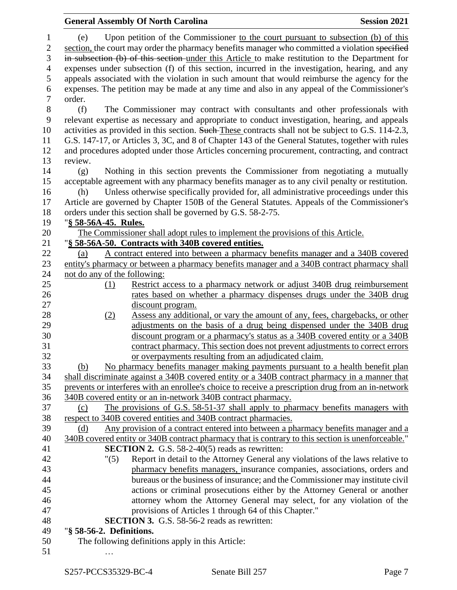|                  | <b>General Assembly Of North Carolina</b> |                                                                                                    | <b>Session 2021</b> |
|------------------|-------------------------------------------|----------------------------------------------------------------------------------------------------|---------------------|
| $\mathbf{1}$     | (e)                                       | Upon petition of the Commissioner to the court pursuant to subsection (b) of this                  |                     |
| $\sqrt{2}$       |                                           | section, the court may order the pharmacy benefits manager who committed a violation specified     |                     |
| 3                |                                           | in subsection (b) of this section under this Article to make restitution to the Department for     |                     |
| $\overline{4}$   |                                           | expenses under subsection (f) of this section, incurred in the investigation, hearing, and any     |                     |
| 5                |                                           | appeals associated with the violation in such amount that would reimburse the agency for the       |                     |
| 6                |                                           | expenses. The petition may be made at any time and also in any appeal of the Commissioner's        |                     |
| $\boldsymbol{7}$ | order.                                    |                                                                                                    |                     |
| $8\,$            | (f)                                       | The Commissioner may contract with consultants and other professionals with                        |                     |
| 9                |                                           | relevant expertise as necessary and appropriate to conduct investigation, hearing, and appeals     |                     |
|                  |                                           |                                                                                                    |                     |
| 10               |                                           | activities as provided in this section. Such-These contracts shall not be subject to G.S. 114-2.3, |                     |
| 11               |                                           | G.S. 147-17, or Articles 3, 3C, and 8 of Chapter 143 of the General Statutes, together with rules  |                     |
| 12               |                                           | and procedures adopted under those Articles concerning procurement, contracting, and contract      |                     |
| 13               | review.                                   |                                                                                                    |                     |
| 14               | (g)                                       | Nothing in this section prevents the Commissioner from negotiating a mutually                      |                     |
| 15               |                                           | acceptable agreement with any pharmacy benefits manager as to any civil penalty or restitution.    |                     |
| 16               | (h)                                       | Unless otherwise specifically provided for, all administrative proceedings under this              |                     |
| 17               |                                           | Article are governed by Chapter 150B of the General Statutes. Appeals of the Commissioner's        |                     |
| 18               |                                           | orders under this section shall be governed by G.S. 58-2-75.                                       |                     |
| 19               | "§ 58-56A-45. Rules.                      |                                                                                                    |                     |
| 20               |                                           | The Commissioner shall adopt rules to implement the provisions of this Article.                    |                     |
| 21               |                                           | "§ 58-56A-50. Contracts with 340B covered entities.                                                |                     |
| 22               | (a)                                       | A contract entered into between a pharmacy benefits manager and a 340B covered                     |                     |
| 23               |                                           | entity's pharmacy or between a pharmacy benefits manager and a 340B contract pharmacy shall        |                     |
| 24               | not do any of the following:              |                                                                                                    |                     |
| 25               | (1)                                       | Restrict access to a pharmacy network or adjust 340B drug reimbursement                            |                     |
| 26               |                                           | rates based on whether a pharmacy dispenses drugs under the 340B drug                              |                     |
| 27               |                                           | discount program.                                                                                  |                     |
| 28               | (2)                                       | Assess any additional, or vary the amount of any, fees, chargebacks, or other                      |                     |
| 29               |                                           | adjustments on the basis of a drug being dispensed under the 340B drug                             |                     |
| 30               |                                           | discount program or a pharmacy's status as a 340B covered entity or a 340B                         |                     |
| 31               |                                           | contract pharmacy. This section does not prevent adjustments to correct errors                     |                     |
| 32               |                                           | or overpayments resulting from an adjudicated claim.                                               |                     |
| 33               | (b)                                       | No pharmacy benefits manager making payments pursuant to a health benefit plan                     |                     |
| 34               |                                           | shall discriminate against a 340B covered entity or a 340B contract pharmacy in a manner that      |                     |
| 35               |                                           | prevents or interferes with an enrollee's choice to receive a prescription drug from an in-network |                     |
| 36               |                                           | 340B covered entity or an in-network 340B contract pharmacy.                                       |                     |
| 37               | (c)                                       | The provisions of G.S. 58-51-37 shall apply to pharmacy benefits managers with                     |                     |
| 38               |                                           | respect to 340B covered entities and 340B contract pharmacies.                                     |                     |
| 39               | (d)                                       | Any provision of a contract entered into between a pharmacy benefits manager and a                 |                     |
| 40               |                                           | 340B covered entity or 340B contract pharmacy that is contrary to this section is unenforceable."  |                     |
| 41               |                                           | <b>SECTION 2.</b> G.S. $58-2-40(5)$ reads as rewritten:                                            |                     |
| 42               | "(5)                                      | Report in detail to the Attorney General any violations of the laws relative to                    |                     |
| 43               |                                           | pharmacy benefits managers, insurance companies, associations, orders and                          |                     |
| 44               |                                           | bureaus or the business of insurance; and the Commissioner may institute civil                     |                     |
| 45               |                                           | actions or criminal prosecutions either by the Attorney General or another                         |                     |
| 46               |                                           | attorney whom the Attorney General may select, for any violation of the                            |                     |
| 47               |                                           | provisions of Articles 1 through 64 of this Chapter."                                              |                     |
| 48               |                                           | <b>SECTION 3.</b> G.S. 58-56-2 reads as rewritten:                                                 |                     |
| 49               | "§ 58-56-2. Definitions.                  |                                                                                                    |                     |
| 50               |                                           | The following definitions apply in this Article:                                                   |                     |
| 51               |                                           |                                                                                                    |                     |